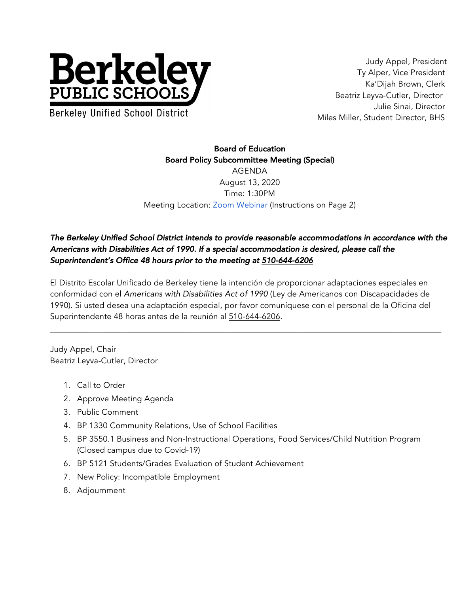

**Berkeley Unified School District** 

Judy Appel, President Ty Alper, Vice President Ka'Dijah Brown, Clerk Beatriz Leyva-Cutler, Director Julie Sinai, Director Miles Miller, Student Director, BHS

Board of Education Board Policy Subcommittee Meeting (Special) AGENDA August 13, 2020 Time: 1:30PM Meeting Location: **Zoom Webinar (Instructions on Page 2)** 

## *The Berkeley Unified School District intends to provide reasonable accommodations in accordance with the Americans with Disabilities Act of 1990. If a special accommodation is desired, please call the Superintendent's Office 48 hours prior to the meeting at 510-644-6206*

El Distrito Escolar Unificado de Berkeley tiene la intención de proporcionar adaptaciones especiales en conformidad con el *Americans with Disabilities Act of 1990* (Ley de Americanos con Discapacidades de 1990). Si usted desea una adaptación especial, por favor comuníquese con el personal de la Oficina del Superintendente 48 horas antes de la reunión al 510-644-6206.

 $\mathcal{L}_\mathcal{L} = \{ \mathcal{L}_\mathcal{L} = \{ \mathcal{L}_\mathcal{L} = \{ \mathcal{L}_\mathcal{L} = \{ \mathcal{L}_\mathcal{L} = \{ \mathcal{L}_\mathcal{L} = \{ \mathcal{L}_\mathcal{L} = \{ \mathcal{L}_\mathcal{L} = \{ \mathcal{L}_\mathcal{L} = \{ \mathcal{L}_\mathcal{L} = \{ \mathcal{L}_\mathcal{L} = \{ \mathcal{L}_\mathcal{L} = \{ \mathcal{L}_\mathcal{L} = \{ \mathcal{L}_\mathcal{L} = \{ \mathcal{L}_\mathcal{$ 

Judy Appel, Chair Beatriz Leyva-Cutler, Director

- 1. Call to Order
- 2. Approve Meeting Agenda
- 3. Public Comment
- 4. BP 1330 Community Relations, Use of School Facilities
- 5. BP 3550.1 Business and Non-Instructional Operations, Food Services/Child Nutrition Program (Closed campus due to Covid-19)
- 6. BP 5121 Students/Grades Evaluation of Student Achievement
- 7. New Policy: Incompatible Employment
- 8. Adjournment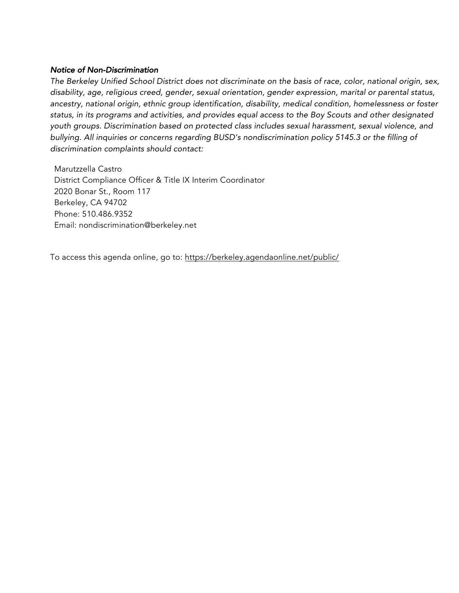## *Notice of Non-Discrimination*

*The Berkeley Unified School District does not discriminate on the basis of race, color, national origin, sex, disability, age, religious creed, gender, sexual orientation, gender expression, marital or parental status, ancestry, national origin, ethnic group identification, disability, medical condition, homelessness or foster status, in its programs and activities, and provides equal access to the Boy Scouts and other designated youth groups. Discrimination based on protected class includes sexual harassment, sexual violence, and bullying. All inquiries or concerns regarding BUSD's nondiscrimination policy 5145.3 or the filling of discrimination complaints should contact:*

Marutzzella Castro District Compliance Officer & Title IX Interim Coordinator 2020 Bonar St., Room 117 Berkeley, CA 94702 Phone: 510.486.9352 Email: nondiscrimination@berkeley.net

To access this agenda online, go to: https://berkeley.agendaonline.net/public/